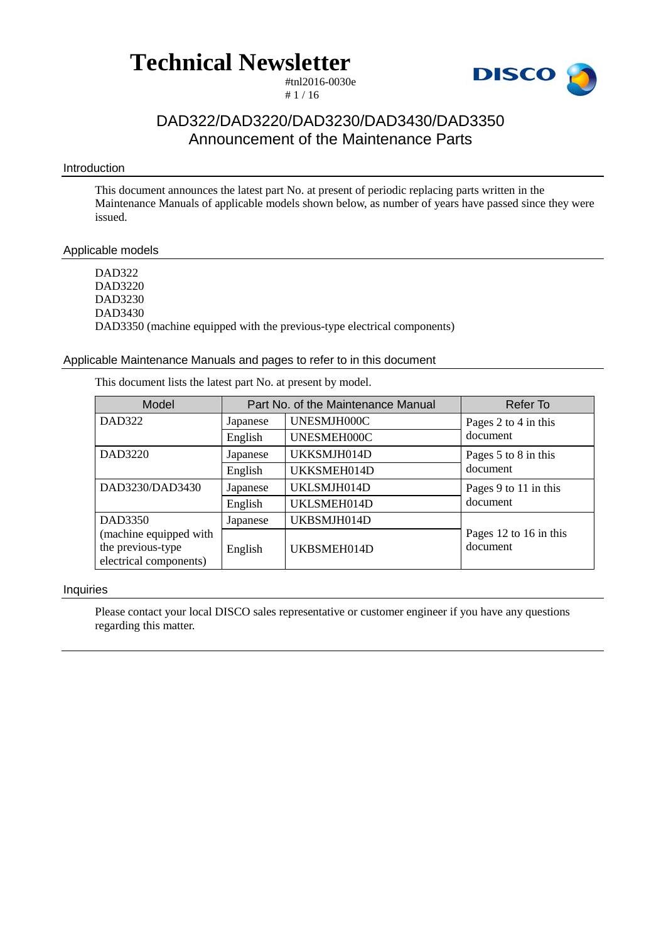**Technical Newsletter** 

#tnl2016-0030e  $# 1 / 16$ 



### DAD322/DAD3220/DAD3230/DAD3430/DAD3350 Announcement of the Maintenance Parts

### Introduction

This document announces the latest part No. at present of periodic replacing parts written in the Maintenance Manuals of applicable models shown below, as number of years have passed since they were issued.

### Applicable models

DAD322 DAD3220 DAD3230 DAD3430 DAD3350 (machine equipped with the previous-type electrical components)

### Applicable Maintenance Manuals and pages to refer to in this document

This document lists the latest part No. at present by model.

| Model                                                                 |          | Part No. of the Maintenance Manual | Refer To                           |
|-----------------------------------------------------------------------|----------|------------------------------------|------------------------------------|
| <b>DAD322</b>                                                         | Japanese | UNESMJH000C                        | Pages 2 to 4 in this               |
|                                                                       | English  | UNESMEH000C                        | document                           |
| DAD3220                                                               | Japanese | UKKSMJH014D                        | Pages 5 to 8 in this               |
|                                                                       | English  | UKKSMEH014D                        | document                           |
| DAD3230/DAD3430                                                       | Japanese | UKLSMJH014D                        | Pages 9 to 11 in this              |
|                                                                       | English  | UKLSMEH014D                        | document                           |
| DAD3350                                                               | Japanese | UKBSMJH014D                        |                                    |
| (machine equipped with<br>the previous-type<br>electrical components) | English  | UKBSMEH014D                        | Pages 12 to 16 in this<br>document |

### Inquiries

Please contact your local DISCO sales representative or customer engineer if you have any questions regarding this matter.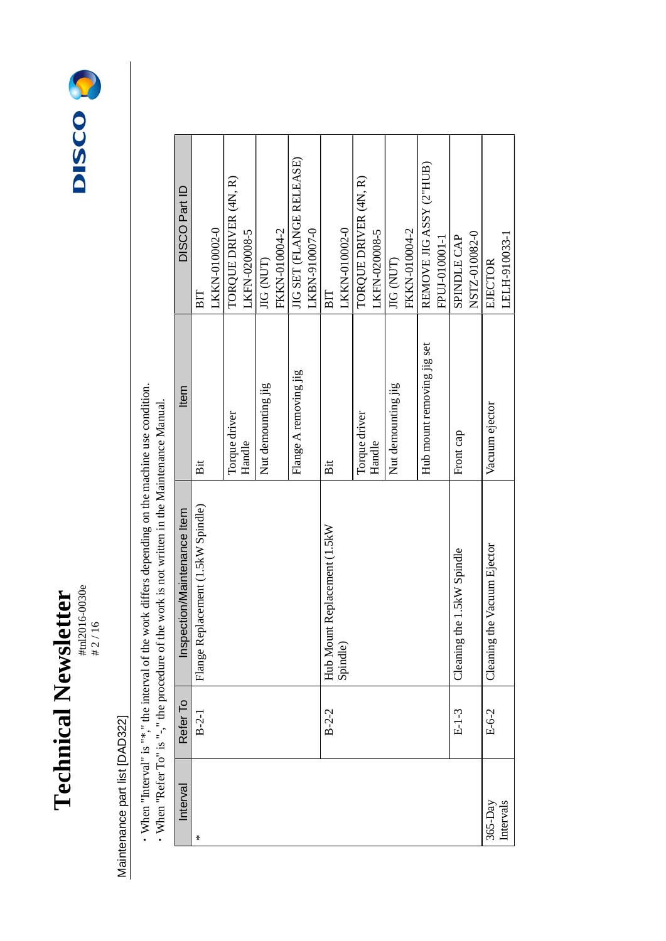



### Maintenance part list [DAD322] Maintenance part list [DAD322]

• When "Interval" is "\*," the interval of the work differs depending on the machine use condition.<br>• When "Refer To" is "-," the procedure of the work is not written in the Maintenance Manual. ・When "Interval" is "\*," the interval of the work differs depending on the machine use condition.

| DISCO Part ID               | ВIT                                | LKKN-010002-0 | TORQUE DRIVER (4N, R) | LKFN-020008-5 | JIG (NUT)          | FKKN-010004-2 | JIG SET (FLANGE RELEASE) | LKBN-910007-0 | ВIT                                      | LKKN-010002-0 | TORQUE DRIVER (4N, R) | LKFN-020008-5 | JIG (NUT)          | FKKN-010004-2 | REMOVE JIG ASSY (2"HUB)    | FPUJ-010001-1 | <b>SPINDLE CAP</b>         | NSTZ-010082-0 | EJECTOR                     | LELH-910033-1 |
|-----------------------------|------------------------------------|---------------|-----------------------|---------------|--------------------|---------------|--------------------------|---------------|------------------------------------------|---------------|-----------------------|---------------|--------------------|---------------|----------------------------|---------------|----------------------------|---------------|-----------------------------|---------------|
| Item                        | Bit                                |               | Torque driver         | Handle        | Nut demounting jig |               | Flange A removing jig    |               | Bit                                      |               | Torque driver         | Handle        | Nut demounting jig |               | Hub mount removing jig set |               | Front cap                  |               | Vacuum ejector              |               |
| Inspection/Maintenance Item | Flange Replacement (1.5kW Spindle) |               |                       |               |                    |               |                          |               | Hub Mount Replacement (1.5kW<br>Spindle) |               |                       |               |                    |               |                            |               | Cleaning the 1.5kW Spindle |               | Cleaning the Vacuum Ejector |               |
| Refer To                    | $B-2-1$                            |               |                       |               |                    |               |                          |               | $B-2-2$                                  |               |                       |               |                    |               |                            |               | $E-1-3$                    |               | $E-6-2$                     |               |
| Interval                    | $^\ast$                            |               |                       |               |                    |               |                          |               |                                          |               |                       |               |                    |               |                            |               |                            |               | $365-Day$                   | Intervals     |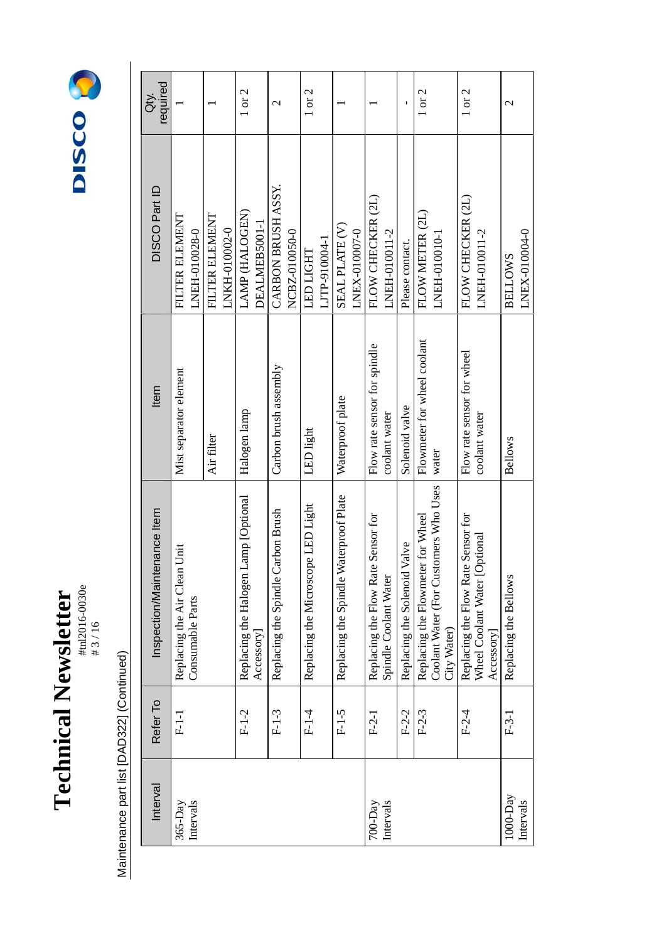



| Interval | Refer To | Inspection/Maintenance Item                                                               | Item                                          | DISCO Part ID                       | required<br>ð. |
|----------|----------|-------------------------------------------------------------------------------------------|-----------------------------------------------|-------------------------------------|----------------|
|          | $F-1-1$  | Unit<br>Replacing the Air Clean<br>Consumable Parts                                       | Mist separator element                        | FILTER ELEMENT<br>LNEH-010028-0     |                |
|          |          |                                                                                           | Air filter                                    | FILTER ELEMENT<br>LNKH-010002-0     |                |
|          | $F-1-2$  | Lamp [Optional<br>Replacing the Halogen<br>Accessory                                      | Halogen lamp                                  | LAMP (HALOGEN)<br>DEALMEB5001-1     | $1$ or $2$     |
|          | $F-1-3$  | Replacing the Spindle Carbon Brush                                                        | Carbon brush assembly                         | CARBON BRUSH ASSY.<br>NCBZ-010050-0 | $\mathcal{L}$  |
|          | $F-1-4$  | Replacing the Microscope LED Light                                                        | LED light                                     | LJTP-910004-1<br><b>LED LIGHT</b>   | $1$ or $2$     |
|          | $F-1-5$  | Replacing the Spindle Waterproof Plate                                                    | Waterproof plate                              | SEAL PLATE (V)<br>LNEX-010007-0     |                |
|          | $F-2-1$  | Replacing the Flow Rate Sensor for<br>Spindle Coolant Water                               | Flow rate sensor for spindle<br>coolant water | FLOW CHECKER (2L)<br>LNEH-010011-2  |                |
|          | $F-2-2$  | Replacing the Solenoid Valve                                                              | Solenoid valve                                | Please contact.                     |                |
|          | $F-2-3$  | Coolant Water (For Customers Who Uses<br>Replacing the Flowmeter for Wheel<br>City Water) | Flowmeter for wheel coolant<br>water          | FLOW METER (2L)<br>LNEH-010010-1    | $1$ or $2$     |
|          | $F-2-4$  | Replacing the Flow Rate Sensor for<br>Wheel Coolant Water [Optional<br>Accessory          | Flow rate sensor for wheel<br>coolant water   | FLOW CHECKER (2L)<br>LNEH-010011-2  | 1 or 2         |
|          | $F-3-1$  | Replacing the Bellows                                                                     | <b>Bellows</b>                                | LNEX-010004-0<br><b>BELLOWS</b>     | $\mathcal{C}$  |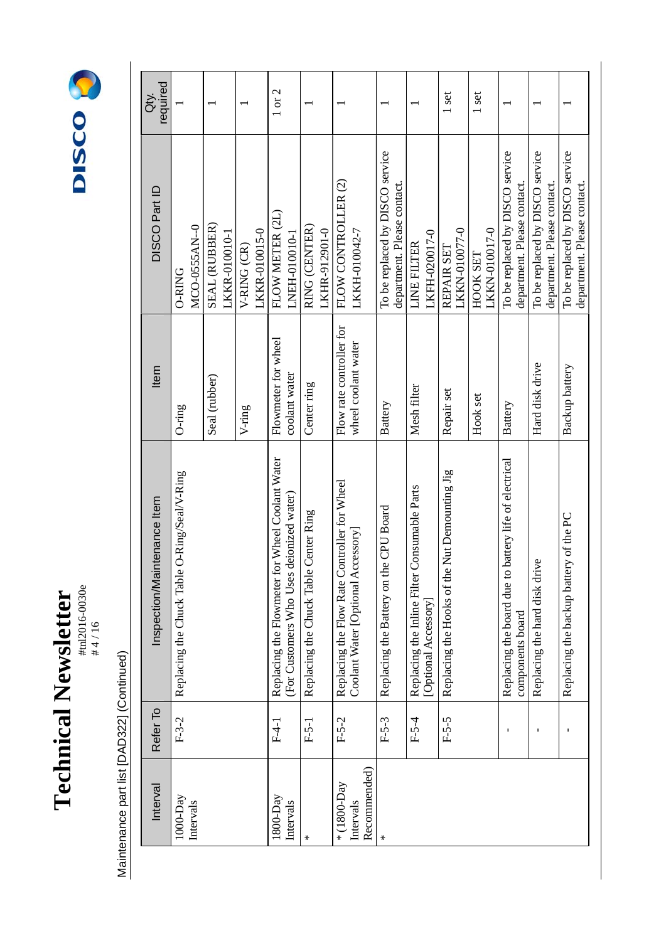

#tnl2016-0030e



| Interval                                 | Refer To | intenance Item<br><b>Inspection/Mai</b>                                                     | Item                                            | DISCO Part ID                                                  | required<br>ðť. |
|------------------------------------------|----------|---------------------------------------------------------------------------------------------|-------------------------------------------------|----------------------------------------------------------------|-----------------|
| $1000-Day$<br>Intervals                  | $F-3-2$  | O-Ring/Seal/V-Ring<br>Replacing the Chuck Table                                             | $O$ -ring                                       | MCO-0555AN--0<br><b>O-RING</b>                                 |                 |
|                                          |          |                                                                                             | Seal (rubber)                                   | SEAL (RUBBER)<br>LKKR-010010-1                                 |                 |
|                                          |          |                                                                                             | V-ring                                          | LKKR-010015-0<br>V-RING (CR)                                   |                 |
| $1800$ -Day<br>Intervals                 | $F-4-1$  | Replacing the Flowmeter for Wheel Coolant Water<br>(For Customers Who Uses deionized water) | Flowmeter for wheel<br>coolant water            | FLOW METER (2L)<br>LNEH-010010-1                               | 1 or 2          |
| $\star$                                  | $F-5-1$  | Replacing the Chuck Table Center Ring                                                       | Center ring                                     | RING (CENTER)<br>LKHR-912901-0                                 |                 |
| Recommended)<br>* (1800-Day<br>Intervals | $F-5-2$  | Replacing the Flow Rate Controller for Wheel<br>Coolant Water [Optional Accessory]          | Flow rate controller for<br>wheel coolant water | FLOW CONTROLLER (2)<br>LKKH-010042-7                           |                 |
| $\star$                                  | $F-5-3$  | Replacing the Battery on the CPU Board                                                      | Battery                                         | To be replaced by DISCO service<br>department. Please contact. |                 |
|                                          | $F-5-4$  | Consumable Parts<br>Replacing the Inline Filter<br>[Optional Accessory]                     | Mesh filter                                     | LKFH-020017-0<br><b>LINE FILTER</b>                            |                 |
|                                          | $F-5-5$  | Replacing the Hooks of the Nut Demounting Jig                                               | Repair set                                      | LKKN-010077-0<br>REPAIR SET                                    | 1 set           |
|                                          |          |                                                                                             | Hook set                                        | LKKN-010017-0<br><b>HOOK SET</b>                               | 1 set           |
|                                          |          | battery life of electrical<br>Replacing the board due to<br>components board                | Battery                                         | To be replaced by DISCO service<br>department. Please contact. |                 |
|                                          | I.       | Replacing the hard disk drive                                                               | Hard disk drive                                 | To be replaced by DISCO service<br>department. Please contact. |                 |
|                                          |          | Replacing the backup battery of the PC                                                      | Backup battery                                  | To be replaced by DISCO service<br>department. Please contact. |                 |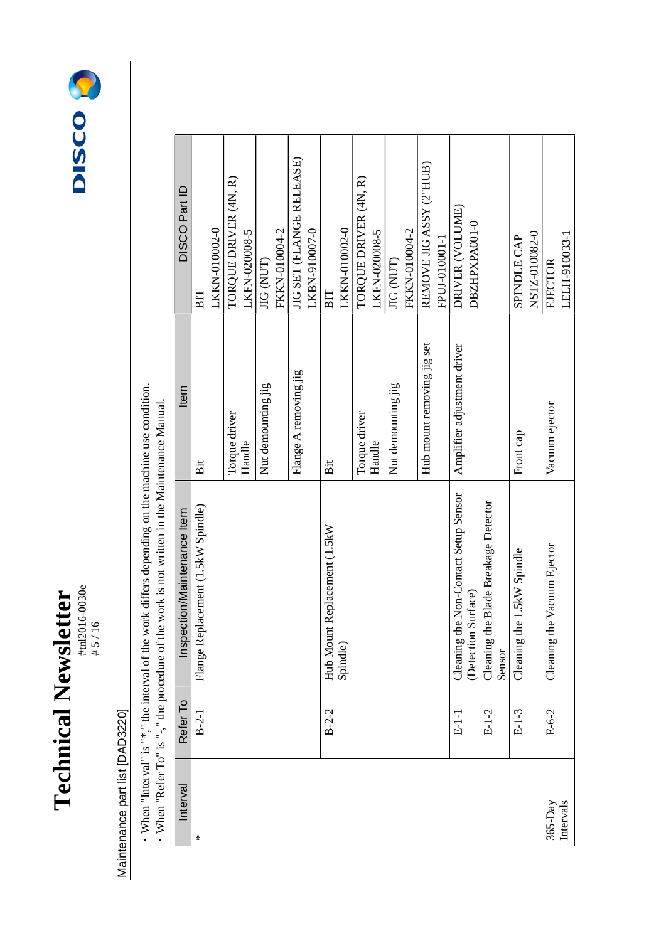



## Maintenance part list [DAD3220] Maintenance part list [DAD3220]

• When "Interval" is "\*," the interval of the work differs depending on the machine use condition.<br>• When "Refer To" is "-," the procedure of the work is not written in the Maintenance Manual. ・When "Interval" is "\*," the interval of the work differs depending on the machine use condition.

| Interval  | Refer To | Inspection/Maintenance Item                         | Item                        | DISCO Part ID            |
|-----------|----------|-----------------------------------------------------|-----------------------------|--------------------------|
| ⊀         | $B-2-1$  | Flange Replacement (1.5kW Spindle)                  | Bit                         | BIT                      |
|           |          |                                                     |                             | LKKN-010002-0            |
|           |          |                                                     | Torque driver               | TORQUE DRIVER (4N, R)    |
|           |          |                                                     | Handle                      | LKFN-020008-5            |
|           |          |                                                     | Nut demounting jig          | JIG (NUT)                |
|           |          |                                                     |                             | FKKN-010004-2            |
|           |          |                                                     | Flange A removing jig       | JIG SET (FLANGE RELEASE) |
|           |          |                                                     |                             | LKBN-910007-0            |
|           | $B-2-2$  | Hub Mount Replacement (1.5kW                        | Bit                         | $\mathbf{B}$             |
|           |          | Spindle)                                            |                             | LKKN-010002-0            |
|           |          |                                                     | Torque driver               | TORQUE DRIVER (4N, R)    |
|           |          |                                                     | Handle                      | LKFN-020008-5            |
|           |          |                                                     | Nut demounting jig          | JIG (NUT)                |
|           |          |                                                     |                             | FKKN-010004-2            |
|           |          |                                                     | Hub mount removing jig set  | REMOVE JIG ASSY (2"HUB)  |
|           |          |                                                     |                             | FPUJ-010001-1            |
|           | $E-1-1$  | the Non-Contact Setup Sensor<br>Cleaning            | Amplifier adjustment driver | DRIVER (VOLUME)          |
|           |          | (Detection Surface)                                 |                             | DBZHPXPA001-0            |
|           | $E-1-2$  | the Blade Breakage Detector<br>Cleaning 1<br>Sensor |                             |                          |
|           | $E-1-3$  | the 1.5kW Spindle<br>Cleaning                       | Front cap                   | SPINDLE CAP              |
|           |          |                                                     |                             | NSTZ-010082-0            |
| $365-Day$ | E-6-2    | the Vacuum Ejector<br>Cleaning                      | Vacuum ejector              | EJECTOR                  |
| Intervals |          |                                                     |                             | LELH-910033-1            |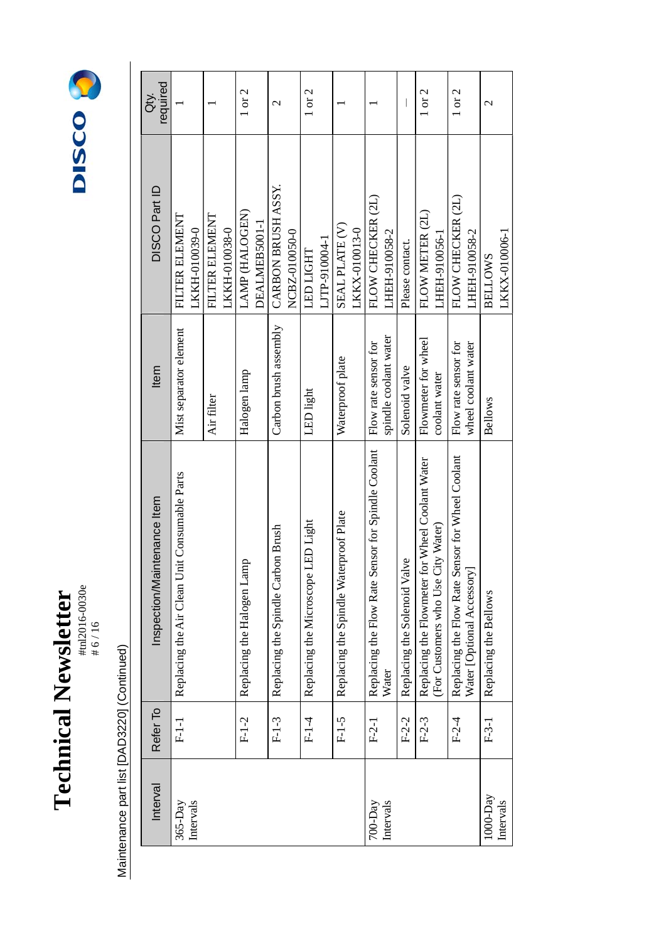



| Interval                  | Refer To | Inspection/Maintenance Item                                                           | Item                                          | DISCO Part ID                       | required<br>ð.<br>Ö |
|---------------------------|----------|---------------------------------------------------------------------------------------|-----------------------------------------------|-------------------------------------|---------------------|
| Intervals<br>$365-Day$    | $F-1-1$  | Replacing the Air Clean Unit Consumable Parts                                         | Mist separator element                        | FILTER ELEMENT<br>LKKH-010039-0     |                     |
|                           |          |                                                                                       | Air filter                                    | FILTER ELEMENT<br>LKKH-010038-0     |                     |
|                           | $F-1-2$  | Replacing the Halogen Lamp                                                            | Halogen lamp                                  | LAMP (HALOGEN)<br>DEALMEB5001-1     | 1 or 2              |
|                           | $F-1-3$  | Replacing the Spindle Carbon Brush                                                    | Carbon brush assembly                         | CARBON BRUSH ASSY.<br>NCBZ-010050-0 | $\mathcal{C}$       |
|                           | $F1-4$   | LED Light<br>Replacing the Microscope I                                               | LED light                                     | LJTP-910004-1<br><b>LED LIGHT</b>   | $1$ or $2$          |
|                           | $F-1-5$  | Replacing the Spindle Waterproof Plate                                                | Waterproof plate                              | SEAL PLATE (V)<br>LKKX-010013-0     |                     |
| Intervals<br>$700 - Day$  | $F-2-1$  | Replacing the Flow Rate Sensor for Spindle Coolant<br>Water                           | spindle coolant water<br>Flow rate sensor for | FLOW CHECKER (2L)<br>LHEH-910058-2  |                     |
|                           | $F-2-2$  | Replacing the Solenoid Valve                                                          | Solenoid valve                                | Please contact.                     |                     |
|                           | $F-2-3$  | Replacing the Flowmeter for Wheel Coolant Water<br>(For Customers who Use City Water) | Flowmeter for wheel<br>coolant water          | FLOW METER (2L)<br>LHEH-910056-1    | 1 or 2              |
|                           | $F-2-4$  | Replacing the Flow Rate Sensor for Wheel Coolant<br>Water [Optional Accessory]        | Flow rate sensor for<br>wheel coolant water   | FLOW CHECKER (2L)<br>LHEH-910058-2  | $1$ or $2$          |
| $1000 - Day$<br>Intervals | $F-3-1$  | Replacing the Bellows                                                                 | <b>Bellows</b>                                | LKKX-010006-1<br><b>BELLOWS</b>     | $\mathcal{L}$       |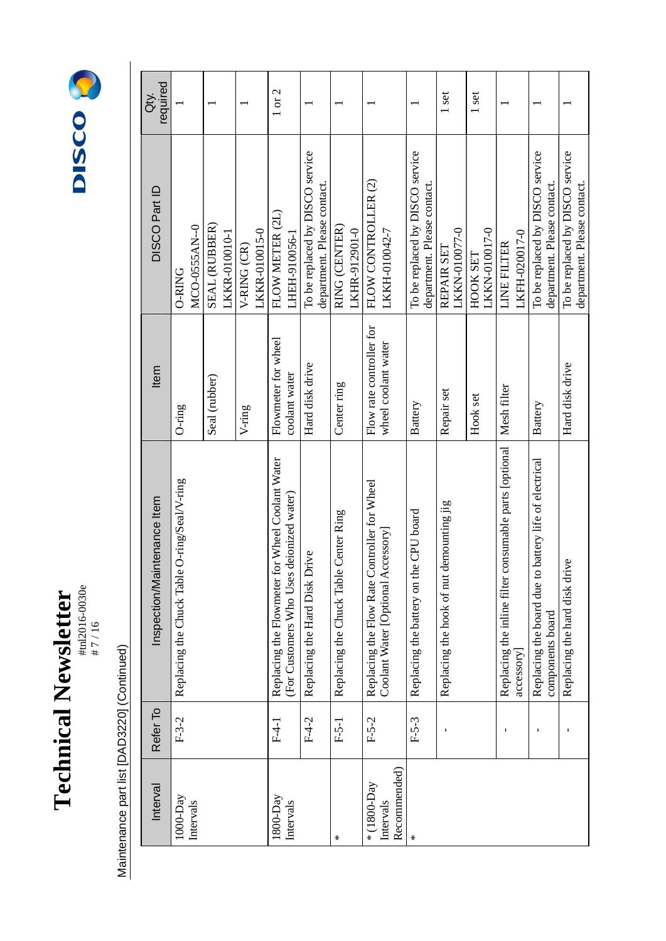### **Technical Newsletter**  #tnl2016-0030e **Technical Newsletter**<br>  $\text{Hence}$



| Interval                                 | Refer To       | Inspection/Maintenance Item                                                                       | Item                                            | DISCO Part ID                                                  | required<br>$\dot{\vec{\sigma}}$ |
|------------------------------------------|----------------|---------------------------------------------------------------------------------------------------|-------------------------------------------------|----------------------------------------------------------------|----------------------------------|
| $1000-Day$<br>Intervals                  | $F-3-2$        | Replacing the Chuck Table O-ring/Seal/V-ring                                                      | $O$ -ring                                       | MCO-0555AN--0<br><b>O-RING</b>                                 |                                  |
|                                          |                |                                                                                                   | Seal (rubber)                                   | SEAL (RUBBER)<br>LKKR-010010-1                                 |                                  |
|                                          |                |                                                                                                   | $V\text{-ring}$                                 | LKKR-010015-0<br>V-RING (CR)                                   |                                  |
| $1800 - Day$<br>Intervals                | $F-4-1$        | for Wheel Coolant Water<br>deionized water)<br>(For Customers Who Uses<br>Replacing the Flowmeter | Flowmeter for wheel<br>coolant water            | FLOW METER (2L)<br>LHEH-910056-1                               | 1 or 2                           |
|                                          | $F-4-2$        | Replacing the Hard Disk Drive                                                                     | Hard disk drive                                 | To be replaced by DISCO service<br>department. Please contact. |                                  |
| ∗                                        | $F-5-1$        | Replacing the Chuck Table Center Ring                                                             | Center ring                                     | RING (CENTER)<br>LKHR-912901-0                                 |                                  |
| Recommended)<br>* (1800-Day<br>Intervals | $F-5-2$        | Replacing the Flow Rate Controller for Wheel<br>Coolant Water [Optional Accessory]                | Flow rate controller for<br>wheel coolant water | FLOW CONTROLLER (2)<br>LKKH-010042-7                           |                                  |
|                                          | $F-5-3$        | Replacing the battery on the CPU board                                                            | Battery                                         | To be replaced by DISCO service<br>department. Please contact. |                                  |
|                                          |                | demounting jig<br>Replacing the hook of nut                                                       | Repair set                                      | LKKN-010077-0<br>REPAIR SET                                    | 1 set                            |
|                                          |                |                                                                                                   | Hook set                                        | LKKN-010017-0<br>HOOK SET                                      | 1 set                            |
|                                          | $\blacksquare$ | consumable parts [optional<br>Replacing the inline filter<br>accessory                            | Mesh filter                                     | LKFH-020017-0<br><b>LINE FILTER</b>                            |                                  |
|                                          |                | Replacing the board due to battery life of electrical<br>components board                         | Battery                                         | To be replaced by DISCO service<br>department. Please contact. |                                  |
|                                          |                | Replacing the hard disk drive                                                                     | Hard disk drive                                 | To be replaced by DISCO service<br>department. Please contact. |                                  |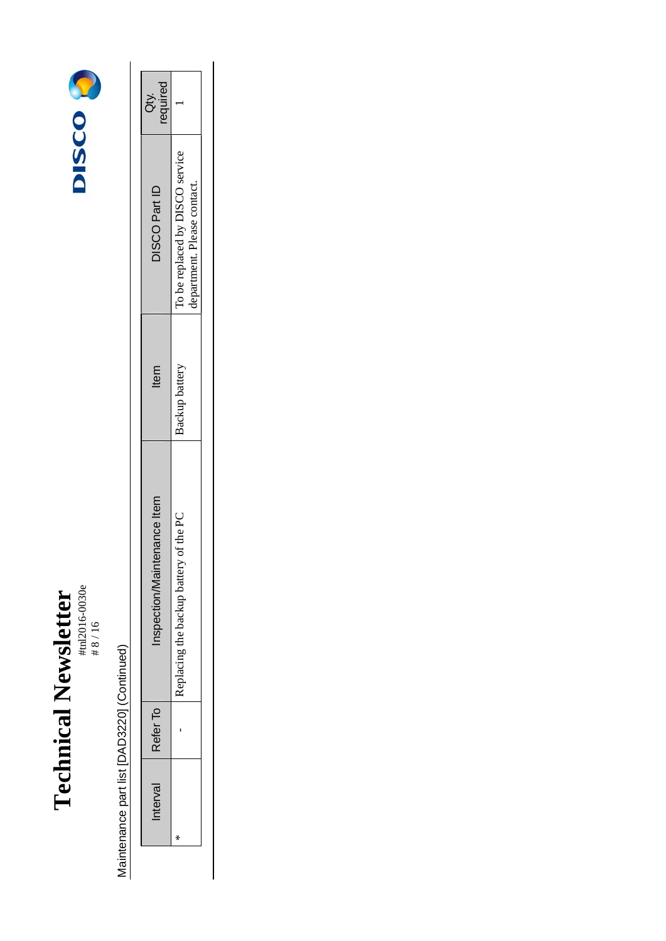### **Technical Newsletter**  #tnl2016-0030e Technical Newsletter<br>  $\text{Hence}$



|   |                          |                | DISCO Part ID                                                  | requirea<br>à.<br>à |
|---|--------------------------|----------------|----------------------------------------------------------------|---------------------|
| Ī | y of the PC<br>me hankim | Backup battery | To be replaced by DISCO service<br>department. Please contact. |                     |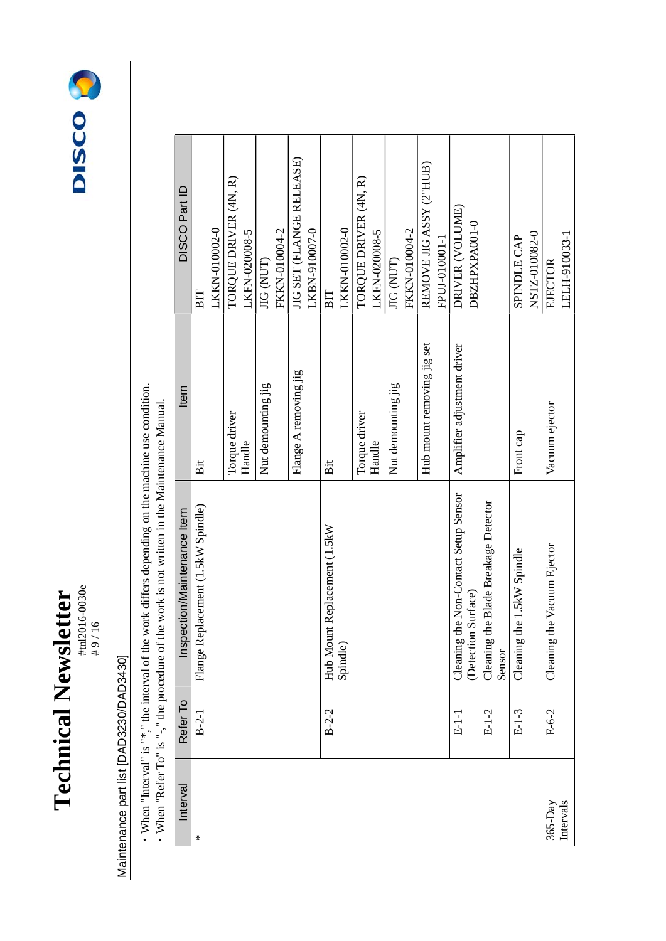



## Maintenance part list [DAD3230/DAD3430] Maintenance part list [DAD3230/DAD3430]

• When "Interval" is "\*," the interval of the work differs depending on the machine use condition.<br>• When "Refer To" is "-," the procedure of the work is not written in the Maintenance Manual. ・When "Interval" is "\*," the interval of the work differs depending on the machine use condition.

| Interval    | Refer To    | Inspection/Maintenance Item                    | Item                        | DISCO Part ID            |
|-------------|-------------|------------------------------------------------|-----------------------------|--------------------------|
| $\star$     | $B-2-1$     | Flange Replacement (1.5kW Spindle)             | Bit                         | BIT                      |
|             |             |                                                |                             | LKKN-010002-0            |
|             |             |                                                | Torque driver               | TORQUE DRIVER (4N, R)    |
|             |             |                                                | Handle                      | LKFN-020008-5            |
|             |             |                                                | Nut demounting jig          | JIG (NUT)                |
|             |             |                                                |                             | FKKN-010004-2            |
|             |             |                                                | Flange A removing jig       | JIG SET (FLANGE RELEASE) |
|             |             |                                                |                             | LKBN-910007-0            |
|             | $B - 2 - 2$ | Hub Mount Replacement (1.5kW                   | Bit                         | BIT                      |
|             |             | Spindle)                                       |                             | LKKN-010002-0            |
|             |             |                                                | Torque driver               | TORQUE DRIVER (4N, R)    |
|             |             |                                                | Handle                      | LKFN-020008-5            |
|             |             |                                                | Nut demounting jig          | JIG (NUT)                |
|             |             |                                                |                             | FKKN-010004-2            |
|             |             |                                                | Hub mount removing jig set  | REMOVE JIG ASSY (2"HUB)  |
|             |             |                                                |                             | FPUJ-010001-1            |
|             | $E-1-1$     | Cleaning the Non-Contact Setup Sensor          | Amplifier adjustment driver | DRIVER (VOLUME)          |
|             |             | (Detection Surface)                            |                             | DBZHPXPA001-0            |
|             | $E-1-2$     | Cleaning the Blade Breakage Detector<br>Sensor |                             |                          |
|             | $E-1-3$     | the 1.5kW Spindle<br>Cleaning                  | Front cap                   | <b>SPINDLE CAP</b>       |
|             |             |                                                |                             | NSTZ-010082-0            |
| $365 - Day$ | $E-6-2$     | Cleaning the Vacuum Ejector                    | Vacuum ejector              | EJECTOR                  |
| Intervals   |             |                                                |                             | LELH-910033-1            |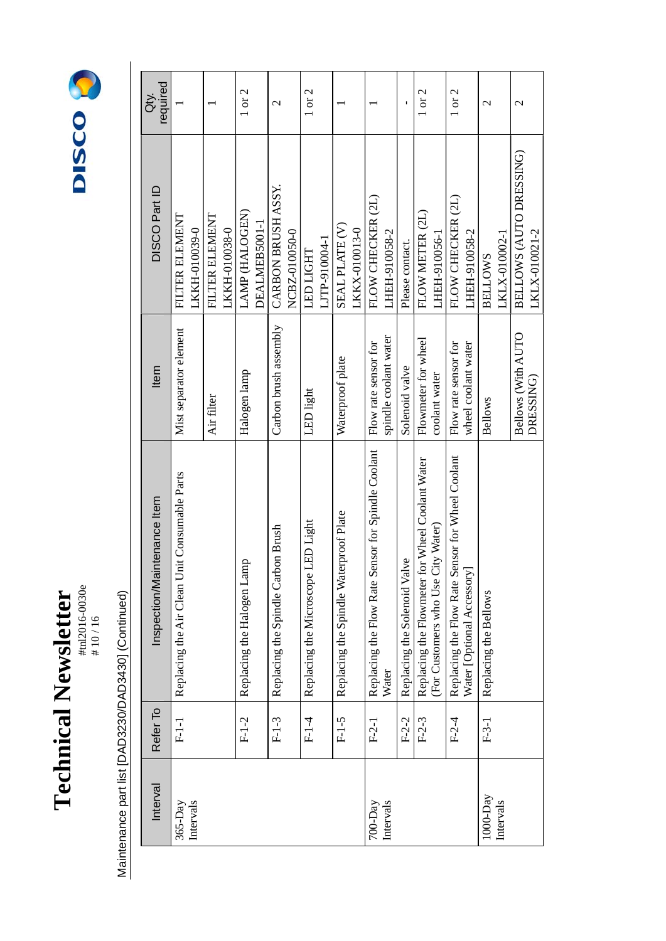

# 10 / 16



Maintenance part list [DAD3230/DAD3430] (Continued) Maintenance part list [DAD3230/DAD3430] (Continued)

| Interval                  | Refer To | Inspection/Maintenance Item                                                                      | Item                                          | DISCO Part ID                            | required<br>ă            |
|---------------------------|----------|--------------------------------------------------------------------------------------------------|-----------------------------------------------|------------------------------------------|--------------------------|
| Intervals<br>$365 - Day$  | $F-1-1$  | Replacing the Air Clean Unit Consumable Parts                                                    | Mist separator element                        | FILTER ELEMENT<br>LKKH-010039-0          |                          |
|                           |          |                                                                                                  | Air filter                                    | FILTER ELEMENT<br>LKKH-010038-0          |                          |
|                           | $F-1-2$  | Replacing the Halogen Lamp                                                                       | Halogen lamp                                  | LAMP (HALOGEN)<br>DEALMEB5001-1          | 1 or 2                   |
|                           | $F-1-3$  | Replacing the Spindle Carbon Brush                                                               | Carbon brush assembly                         | CARBON BRUSH ASSY<br>NCBZ-010050-0       | $\mathcal{L}$            |
|                           | $F-1-4$  | LED Light<br>Replacing the Microscope                                                            | LED light                                     | LJTP-910004-1<br><b>LED LIGHT</b>        | $1$ or $2$               |
|                           | $F-1-5$  | Replacing the Spindle Waterproof Plate                                                           | Waterproof plate                              | SEAL PLATE (V)<br>LKKX-010013-0          |                          |
| Intervals<br>$700 - Day$  | $F-2-1$  | Replacing the Flow Rate Sensor for Spindle Coolant<br>Water                                      | spindle coolant water<br>Flow rate sensor for | FLOW CHECKER (2L)<br>LHEH-910058-2       |                          |
|                           | $F-2-2$  | Replacing the Solenoid Valve                                                                     | Solenoid valve                                | Please contact.                          |                          |
|                           | $F-2-3$  | for Wheel Coolant Water<br>City Water)<br>Replacing the Flowmeter f<br>(For Customers who Use 0) | Flowmeter for wheel<br>coolant water          | FLOW METER (2L)<br>LHEH-910056-1         | 1 or 2                   |
|                           | $F-2-4$  | Replacing the Flow Rate Sensor for Wheel Coolant<br>Water [Optional Accessory]                   | Flow rate sensor for<br>wheel coolant water   | FLOW CHECKER (2L)<br>LHEH-910058-2       | $1$ or $2$               |
| $1000 - Day$<br>Intervals | $F-3-1$  | Replacing the Bellows                                                                            | <b>Bellows</b>                                | LKLX-010002-1<br><b>BELLOWS</b>          | $\overline{\mathcal{C}}$ |
|                           |          |                                                                                                  | Bellows (With AUTO<br>DRESSING)               | BELLOWS (AUTO DRESSING)<br>LKLX-010021-2 | $\mathcal{C}$            |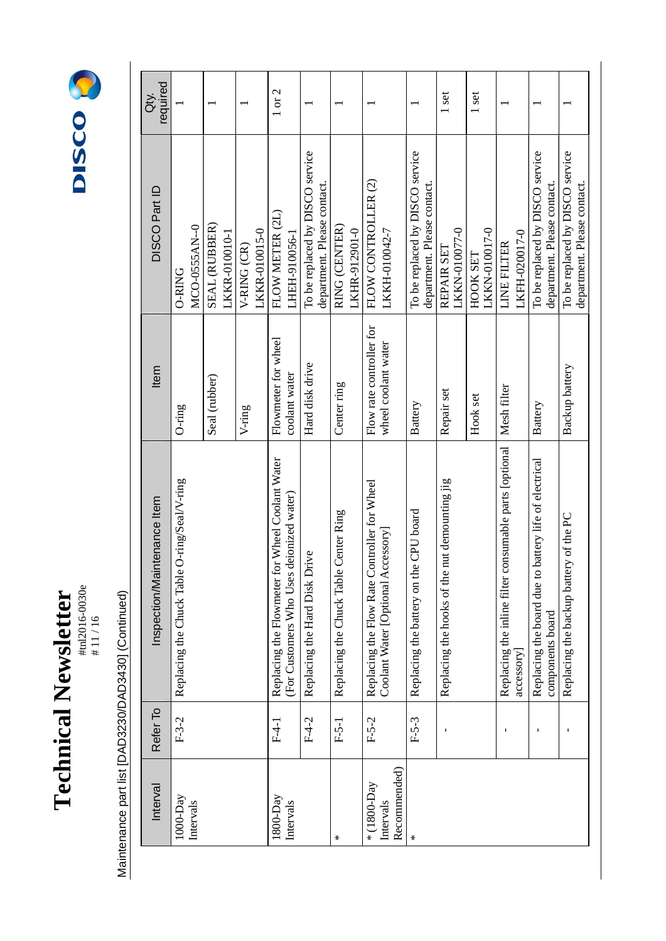

#tnl2016-0030e # 11 / 16



Maintenance part list [DAD3230/DAD3430] (Continued) Maintenance part list [DAD3230/DAD3430] (Continued)

| required<br>ðť.             |                                              |                                |                              | 1 or 2                                                                                      |                                                                |                                       |                                                                                    |                                                                | 1 set                                            | 1 set                     |                                                                     |                                                                              |                                                                |
|-----------------------------|----------------------------------------------|--------------------------------|------------------------------|---------------------------------------------------------------------------------------------|----------------------------------------------------------------|---------------------------------------|------------------------------------------------------------------------------------|----------------------------------------------------------------|--------------------------------------------------|---------------------------|---------------------------------------------------------------------|------------------------------------------------------------------------------|----------------------------------------------------------------|
| DISCO Part ID               | MCO-0555AN--0<br><b>O-RING</b>               | SEAL (RUBBER)<br>LKKR-010010-1 | LKKR-010015-0<br>V-RING (CR) | FLOW METER (2L)<br>LHEH-910056-1                                                            | To be replaced by DISCO service<br>department. Please contact. | RING (CENTER)<br>LKHR-912901-0        | FLOW CONTROLLER (2)<br>LKKH-010042-7                                               | To be replaced by DISCO service<br>department. Please contact. | LKKN-010077-0<br>REPAIR SET                      | LKKN-010017-0<br>HOOK SET | LKFH-020017-0<br>LINE FILTER                                        | To be replaced by DISCO service<br>department. Please contact.               | To be replaced by DISCO service<br>department. Please contact. |
| Item                        | $O$ -ring                                    | Seal (rubber)                  | V-ring                       | Flowmeter for wheel<br>coolant water                                                        | Hard disk drive                                                | Center ring                           | Flow rate controller for<br>wheel coolant water                                    | Battery                                                        | Repair set                                       | Hook set                  | Mesh filter                                                         | Battery                                                                      | Backup battery                                                 |
| Inspection/Maintenance Item | Replacing the Chuck Table O-ring/Seal/V-ring |                                |                              | Replacing the Flowmeter for Wheel Coolant Water<br>(For Customers Who Uses deionized water) | Replacing the Hard Disk Drive                                  | Replacing the Chuck Table Center Ring | Replacing the Flow Rate Controller for Wheel<br>Coolant Water [Optional Accessory] | Replacing the battery on the CPU board                         | nut demounting jig<br>Replacing the hooks of the |                           | Replacing the inline filter consumable parts [optional<br>accessory | battery life of electrical<br>Replacing the board due to<br>components board | Replacing the backup battery of the PC                         |
| Refer To                    | $F-3-2$                                      |                                |                              | $F-4-1$                                                                                     | $F-4-2$                                                        | $F-5-1$                               | $F-5-2$                                                                            | $F-5-3$                                                        | $\mathbf{I}$                                     |                           | $\mathbf I$                                                         |                                                                              | $\blacksquare$                                                 |
| Interval                    | $1000-Day$<br>Intervals                      |                                |                              | $1800 - Day$<br>Intervals                                                                   |                                                                | $\star$                               | Recommended)<br>* (1800-Day<br>Intervals                                           | $\star$                                                        |                                                  |                           |                                                                     |                                                                              |                                                                |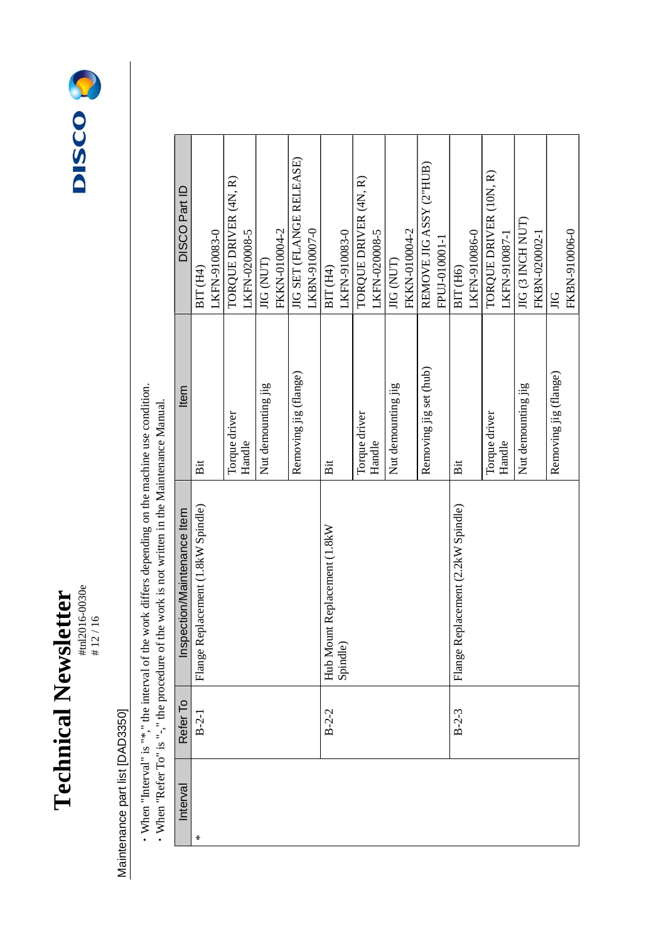

# 12 / 16



## Maintenance part list [DAD3350] Maintenance part list [DAD3350]

• When "Interval" is "\*," the interval of the work differs depending on the machine use condition.<br>• When "Refer To" is "-," the procedure of the work is not written in the Maintenance Manual. ・When "Interval" is "\*," the interval of the work differs depending on the machine use condition.

| DISCO Part ID               | BIT (H4)                           | LKFN-910083-0 | TORQUE DRIVER (4N, R) | LKFN-020008-5 | <b>JIG (NUT)</b>   | FKKN-010004-2 | JIG SET (FLANGE RELEASE) | LKBN-910007-0 | BIT (H4)                     | LKFN-910083-0 | TORQUE DRIVER (4N, R) | LKFN-020008-5 | JIG (NUT)          | FKKN-010004-2 | REMOVE JIG ASSY (2"HUB) | FPUJ-010001-1 | BIT <sub>(H6)</sub>                | LKFN-910086-0 | TORQUE DRIVER (10N, R) | LKFN-910087-1 | <b>JIG (3 INCH NUT)</b> | FKBN-020002-1 | $\Xi$                 | FKBN-910006-0 |
|-----------------------------|------------------------------------|---------------|-----------------------|---------------|--------------------|---------------|--------------------------|---------------|------------------------------|---------------|-----------------------|---------------|--------------------|---------------|-------------------------|---------------|------------------------------------|---------------|------------------------|---------------|-------------------------|---------------|-----------------------|---------------|
| Item                        | Bit                                |               | Torque driver         | Handle        | Nut demounting jig |               | Removing jig (flange)    |               | Bit                          |               | Torque driver         | Handle        | Nut demounting jig |               | Removing jig set (hub)  |               | Bit                                |               | Torque driver          | Handle        | Nut demounting jig      |               | Removing jig (flange) |               |
| Inspection/Maintenance Item | Flange Replacement (1.8kW Spindle) |               |                       |               |                    |               |                          |               | Hub Mount Replacement (1.8kW | Spindle)      |                       |               |                    |               |                         |               | Flange Replacement (2.2kW Spindle) |               |                        |               |                         |               |                       |               |
| Refer To                    | $B-2-1$                            |               |                       |               |                    |               |                          |               | $B - 2 - 2$                  |               |                       |               |                    |               |                         |               | $B-2-3$                            |               |                        |               |                         |               |                       |               |
| Interval                    | $\star$                            |               |                       |               |                    |               |                          |               |                              |               |                       |               |                    |               |                         |               |                                    |               |                        |               |                         |               |                       |               |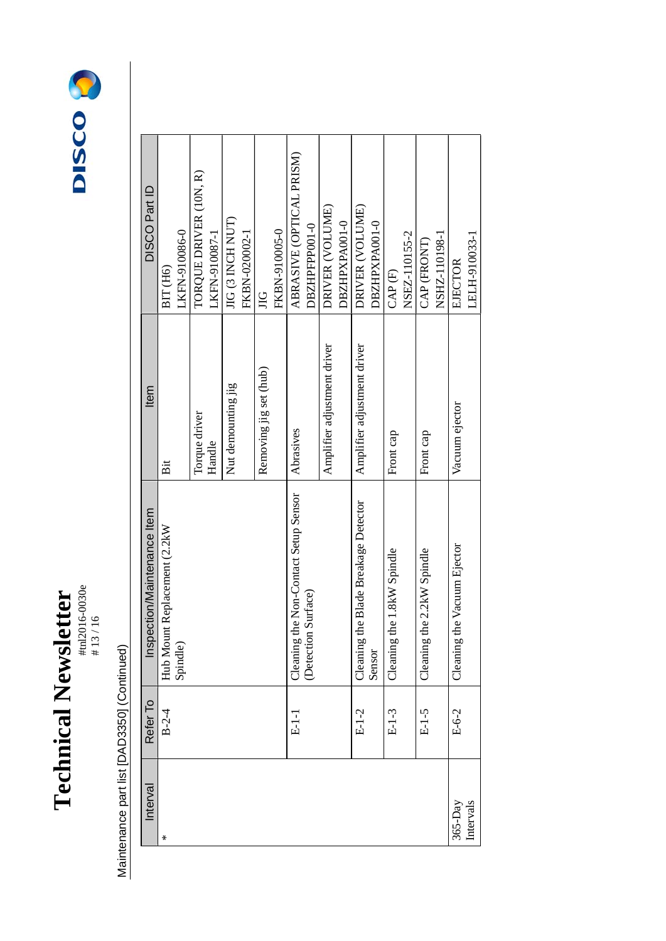

# 13 / 16



| Interval  | Refer To    | Inspection/Maintenance Item              | Item                        | DISCO Part ID            |
|-----------|-------------|------------------------------------------|-----------------------------|--------------------------|
| ∗         | $B - 2 - 4$ | Hub Mount Replacement (2.2kW             | Bit                         | BIT (H6)                 |
|           |             | Spindle)                                 |                             | LKFN-910086-0            |
|           |             |                                          | Torque driver               | TORQUE DRIVER (10N, R)   |
|           |             |                                          | Handle                      | LKFN-910087-1            |
|           |             |                                          | Nut demounting jig          | <b>JIG (3 INCH NUT)</b>  |
|           |             |                                          |                             | FKBN-020002-1            |
|           |             |                                          | Removing jig set (hub)      | $\Xi$                    |
|           |             |                                          |                             | FKBN-910005-0            |
|           | $E-1-1$     | Cleaning the Non-Contact Setup Sensor    | Abrasives                   | ABRASIVE (OPTICAL PRISM) |
|           |             | Surface)<br>Detection                    |                             | DBZHPFPP001-0            |
|           |             |                                          | Amplifier adjustment driver | DRIVER (VOLUME)          |
|           |             |                                          |                             | DBZHPXPA001-0            |
|           | $E-1-2$     | he Blade Breakage Detector<br>Cleaning t | Amplifier adjustment driver | DRIVER (VOLUME)          |
|           |             | Sensor                                   |                             | DBZHPXPA001-0            |
|           | $E-1-3$     | he 1.8kW Spindle<br>Cleaning t           | Front cap                   | CAP(F)                   |
|           |             |                                          |                             | NSEZ-110155-2            |
|           | $E-1-5$     | he 2.2kW Spindle<br>Cleaning t           | Front cap                   | CAP (FRONT)              |
|           |             |                                          |                             | NSHZ-110198-1            |
| $365-Day$ | $E-6-2$     | he Vacuum Ejector<br>Cleaning t          | Vacuum ejector              | EJECTOR                  |
| Intervals |             |                                          |                             | LELH-910033-1            |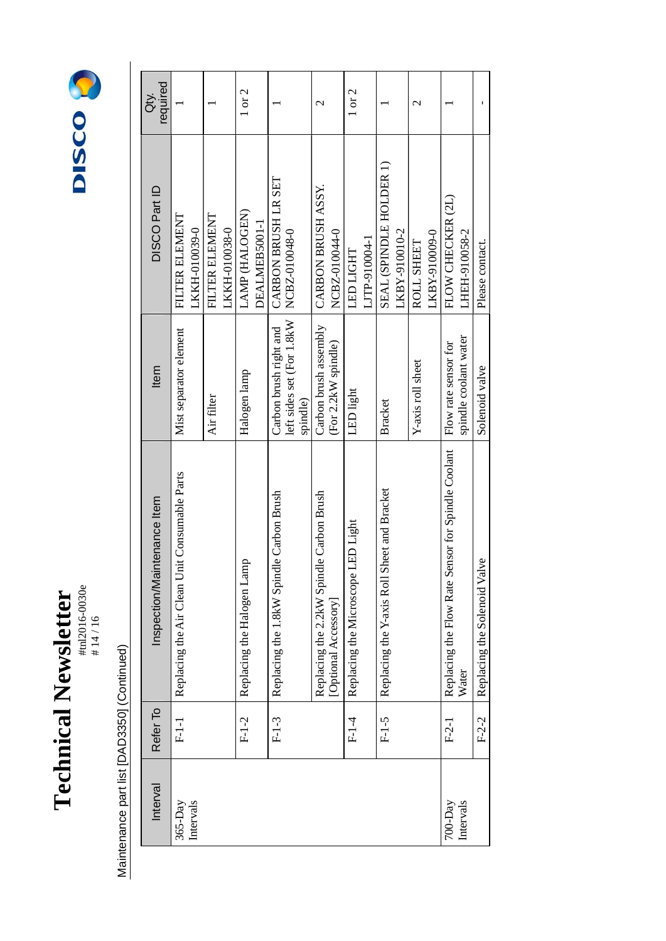

# 14 / 16



| Interval                 | Refer To | ntenance Item<br>Inspection/Mai                                  | Item                                                                            | DISCO Part ID                            | required<br>ă            |
|--------------------------|----------|------------------------------------------------------------------|---------------------------------------------------------------------------------|------------------------------------------|--------------------------|
| Intervals<br>$365-Day$   | $F-1-1$  | Replacing the Air Clean Unit Consumable Parts                    | Mist separator element                                                          | FILTER ELEMENT<br>LKKH-010039-0          |                          |
|                          |          |                                                                  | Air filter                                                                      | FILTER ELEMENT<br>LKKH-010038-0          |                          |
|                          | $F-1-2$  | Replacing the Halogen Lamp                                       | Halogen lamp                                                                    | LAMP (HALOGEN)<br>DEALMEB5001-1          | $1$ or $2$               |
|                          | $F-1-3$  | Replacing the 1.8kW Spindle Carbon Brush                         | left sides set (For 1.8kW   NCBZ-010048-0<br>Carbon brush right and<br>spindle) | CARBON BRUSH LR SET                      |                          |
|                          |          | Replacing the 2.2kW Spindle Carbon Brush<br>[Optional Accessory] | Carbon brush assembly<br>(For 2.2kW spindle)                                    | CARBON BRUSH ASSY.<br>NCBZ-010044-0      | $\overline{\mathcal{C}}$ |
|                          | $F1-4$   | LED Light<br>Replacing the Microscope I                          | LED light                                                                       | LJTP-910004-1<br><b>LED LIGHT</b>        | 1 or 2                   |
|                          | $F-1-5$  | Replacing the Y-axis Roll Sheet and Bracket                      | <b>Bracket</b>                                                                  | SEAL (SPINDLE HOLDER 1)<br>LKBY-910010-2 |                          |
|                          |          |                                                                  | Y-axis roll sheet                                                               | LKBY-910009-0<br><b>ROLL SHEET</b>       | $\overline{\mathcal{C}}$ |
| Intervals<br>$700 - Day$ | $F-2-1$  | Replacing the Flow Rate Sensor for Spindle Coolant<br>Water      | spindle coolant water<br>Flow rate sensor for                                   | FLOW CHECKER (2L)<br>LHEH-910058-2       |                          |
|                          | $F-2-2$  | ye<br>Replacing the Solenoid Val                                 | Solenoid valve                                                                  | Please contact.                          |                          |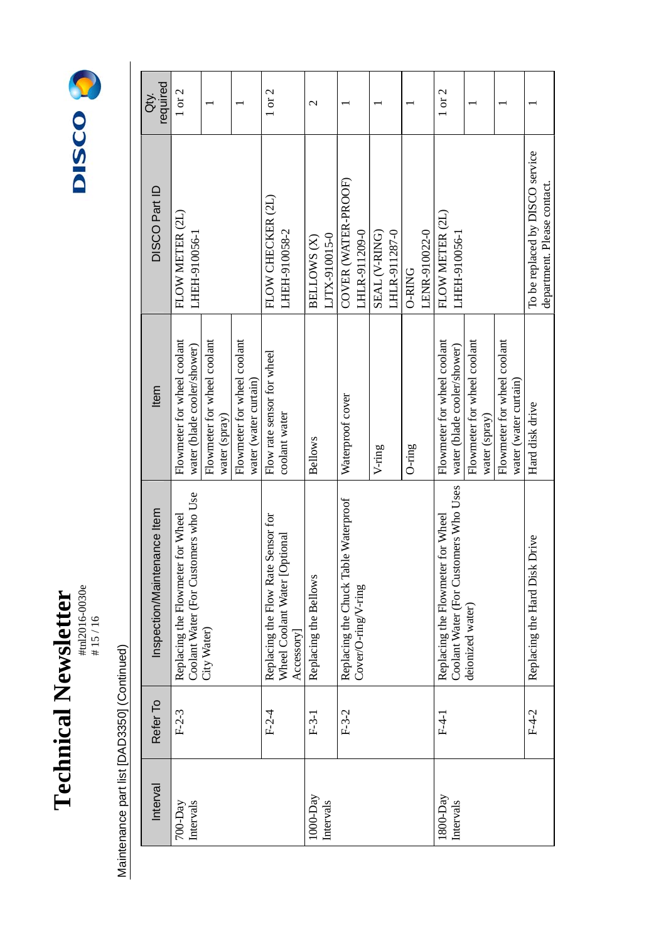**Technical Newsletter**<br> **HEXPSICATE:** #tnl2016-0030e **Technical Newsletter** 

# 15 / 16



| required<br>à.              | $1$ or $2$                                                                |                                              |                                                      | 1 or 2                             |                                            | $\mathcal{C}$         |               |                                      |                     |               |               |        |               | 1 or 2                            |                                       |                             |               |                             |                       |                                                                |
|-----------------------------|---------------------------------------------------------------------------|----------------------------------------------|------------------------------------------------------|------------------------------------|--------------------------------------------|-----------------------|---------------|--------------------------------------|---------------------|---------------|---------------|--------|---------------|-----------------------------------|---------------------------------------|-----------------------------|---------------|-----------------------------|-----------------------|----------------------------------------------------------------|
| DISCO Part ID               | FLOW METER (2L)<br>LHEH-910056-1                                          |                                              |                                                      | FLOW CHECKER (2L)                  | LHEH-910058-2                              | BELLOWS (X)           | LJTX-910015-0 | COVER (WATER-PROOF)                  | LHLR-911209-0       | SEAL (V-RING) | LHLR-911287-0 | O-RING | LENR-910022-0 | FLOW METER (2L)                   | LHEH-910056-1                         |                             |               |                             |                       | To be replaced by DISCO service<br>department. Please contact. |
| Item                        | Flowmeter for wheel coolant<br>water (blade cooler/shower)                | Flowmeter for wheel coolant<br>water (spray) | Flowmeter for wheel coolant<br>water (water curtain) | Flow rate sensor for wheel         | coolant water                              | <b>Bellows</b>        |               | Waterproof cover                     |                     | $V$ -ring     |               | O-ring |               | Flowmeter for wheel coolant       | water (blade cooler/shower)           | Flowmeter for wheel coolant | water (spray) | Flowmeter for wheel coolant | water (water curtain) | Hard disk drive                                                |
| Inspection/Maintenance Item | Coolant Water (For Customers who Use<br>Replacing the Flowmeter for Wheel | City Water)                                  |                                                      | Replacing the Flow Rate Sensor for | Wheel Coolant Water [Optional<br>Accessory | Replacing the Bellows |               | Replacing the Chuck Table Waterproof | Cover/O-ring/V-ring |               |               |        |               | Replacing the Flowmeter for Wheel | Coolant Water (For Customers Who Uses | deionized water)            |               |                             |                       | Replacing the Hard Disk Drive                                  |
| Refer To                    | $F-2-3$                                                                   |                                              |                                                      | $F-2-4$                            |                                            | $F-3-1$               |               | $F-3-2$                              |                     |               |               |        |               | $F-4-1$                           |                                       |                             |               |                             |                       | $F-4-2$                                                        |
| Interval                    | Intervals<br>$700 - Day$                                                  |                                              |                                                      |                                    |                                            | $1000 - Day$          | Intervals     |                                      |                     |               |               |        |               | $1800$ -Day                       | Intervals                             |                             |               |                             |                       |                                                                |